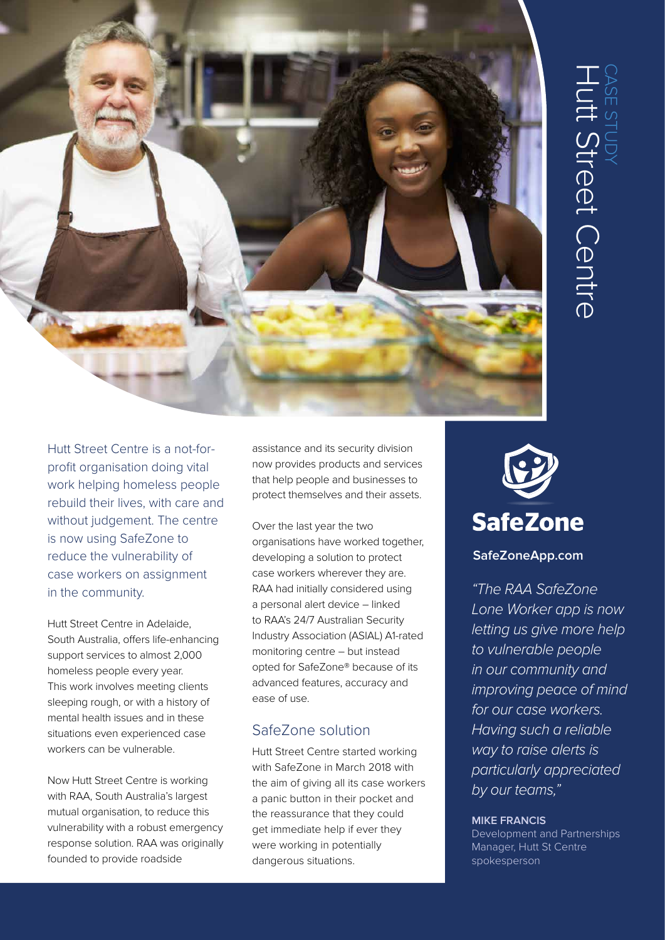

Hutt Street Centre is a not-forprofit organisation doing vital work helping homeless people rebuild their lives, with care and without judgement. The centre is now using SafeZone to reduce the vulnerability of case workers on assignment in the community.

Hutt Street Centre in Adelaide, South Australia, offers life-enhancing support services to almost 2,000 homeless people every year. This work involves meeting clients sleeping rough, or with a history of mental health issues and in these situations even experienced case workers can be vulnerable.

Now Hutt Street Centre is working with RAA, South Australia's largest mutual organisation, to reduce this vulnerability with a robust emergency response solution. RAA was originally founded to provide roadside

assistance and its security division now provides products and services that help people and businesses to protect themselves and their assets.

Over the last year the two organisations have worked together, developing a solution to protect case workers wherever they are. RAA had initially considered using a personal alert device – linked to RAA's 24/7 Australian Security Industry Association (ASIAL) A1-rated monitoring centre – but instead opted for SafeZone® because of its advanced features, accuracy and ease of use.

# SafeZone solution

Hutt Street Centre started working with SafeZone in March 2018 with the aim of giving all its case workers a panic button in their pocket and the reassurance that they could get immediate help if ever they were working in potentially dangerous situations.



### **SafeZoneApp.com**

*"The RAA SafeZone Lone Worker app is now letting us give more help to vulnerable people in our community and improving peace of mind for our case workers. Having such a reliable way to raise alerts is particularly appreciated by our teams,"*

#### **MIKE FRANCIS**

Development and Partnerships Manager, Hutt St Centre spokesperson